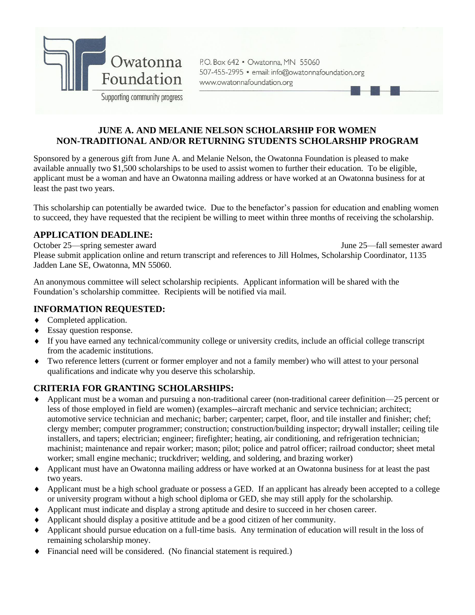

P.O. Box 642 . Owatonna, MN 55060 507-455-2995 · email: info@owatonnafoundation.org www.owatonnafoundation.org

## **JUNE A. AND MELANIE NELSON SCHOLARSHIP FOR WOMEN NON-TRADITIONAL AND/OR RETURNING STUDENTS SCHOLARSHIP PROGRAM**

Sponsored by a generous gift from June A. and Melanie Nelson, the Owatonna Foundation is pleased to make available annually two \$1,500 scholarships to be used to assist women to further their education. To be eligible, applicant must be a woman and have an Owatonna mailing address or have worked at an Owatonna business for at least the past two years.

This scholarship can potentially be awarded twice. Due to the benefactor's passion for education and enabling women to succeed, they have requested that the recipient be willing to meet within three months of receiving the scholarship.

#### **APPLICATION DEADLINE:**

October 25—spring semester award June 25—fall semester award Please submit application online and return transcript and references to Jill Holmes, Scholarship Coordinator, 1135 Jadden Lane SE, Owatonna, MN 55060.

An anonymous committee will select scholarship recipients. Applicant information will be shared with the Foundation's scholarship committee. Recipients will be notified via mail.

#### **INFORMATION REQUESTED:**

- Completed application.
- ◆ Essay question response.
- If you have earned any technical/community college or university credits, include an official college transcript from the academic institutions.
- Two reference letters (current or former employer and not a family member) who will attest to your personal qualifications and indicate why you deserve this scholarship.

### **CRITERIA FOR GRANTING SCHOLARSHIPS:**

- Applicant must be a woman and pursuing a non-traditional career (non-traditional career definition—25 percent or less of those employed in field are women) (examples--aircraft mechanic and service technician; architect; automotive service technician and mechanic; barber; carpenter; carpet, floor, and tile installer and finisher; chef; clergy member; computer programmer; construction; construction/building inspector; drywall installer; ceiling tile installers, and tapers; electrician; engineer; firefighter; heating, air conditioning, and refrigeration technician; machinist; maintenance and repair worker; mason; pilot; police and patrol officer; railroad conductor; sheet metal worker; small engine mechanic; truckdriver; welding, and soldering, and brazing worker)
- Applicant must have an Owatonna mailing address or have worked at an Owatonna business for at least the past two years.
- Applicant must be a high school graduate or possess a GED. If an applicant has already been accepted to a college or university program without a high school diploma or GED, she may still apply for the scholarship.
- Applicant must indicate and display a strong aptitude and desire to succeed in her chosen career.
- Applicant should display a positive attitude and be a good citizen of her community.
- Applicant should pursue education on a full-time basis. Any termination of education will result in the loss of remaining scholarship money.
- Financial need will be considered. (No financial statement is required.)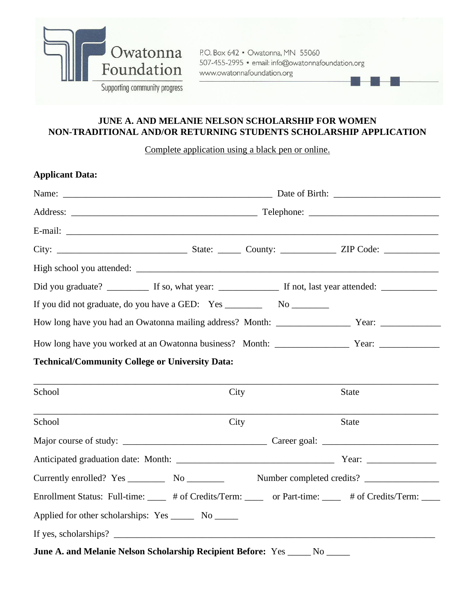

P.O. Box 642 · Owatonna, MN 55060 507-455-2995 · email: info@owatonnafoundation.org www.owatonnafoundation.org

# **JUNE A. AND MELANIE NELSON SCHOLARSHIP FOR WOMEN NON-TRADITIONAL AND/OR RETURNING STUDENTS SCHOLARSHIP APPLICATION**

Complete application using a black pen or online.

| <b>Applicant Data:</b>                                 |                                                                                   |                                                                                                            |  |  |
|--------------------------------------------------------|-----------------------------------------------------------------------------------|------------------------------------------------------------------------------------------------------------|--|--|
|                                                        |                                                                                   |                                                                                                            |  |  |
|                                                        |                                                                                   |                                                                                                            |  |  |
|                                                        |                                                                                   |                                                                                                            |  |  |
|                                                        |                                                                                   |                                                                                                            |  |  |
|                                                        |                                                                                   |                                                                                                            |  |  |
|                                                        |                                                                                   |                                                                                                            |  |  |
|                                                        | If you did not graduate, do you have a GED: Yes _________________________________ |                                                                                                            |  |  |
|                                                        |                                                                                   |                                                                                                            |  |  |
|                                                        |                                                                                   |                                                                                                            |  |  |
| <b>Technical/Community College or University Data:</b> |                                                                                   |                                                                                                            |  |  |
|                                                        |                                                                                   |                                                                                                            |  |  |
| School                                                 | City                                                                              | <b>State</b>                                                                                               |  |  |
| School                                                 | City                                                                              | <b>State</b>                                                                                               |  |  |
|                                                        |                                                                                   |                                                                                                            |  |  |
|                                                        |                                                                                   |                                                                                                            |  |  |
|                                                        |                                                                                   |                                                                                                            |  |  |
|                                                        |                                                                                   | Enrollment Status: Full-time: $\_\_\_\$ # of Credits/Term: _____ or Part-time: ____ # of Credits/Term: ___ |  |  |
| Applied for other scholarships: Yes _______ No ______  |                                                                                   |                                                                                                            |  |  |
|                                                        | If yes, scholarships? $\qquad \qquad$                                             |                                                                                                            |  |  |
|                                                        | June A. and Melanie Nelson Scholarship Recipient Before: Yes                      |                                                                                                            |  |  |